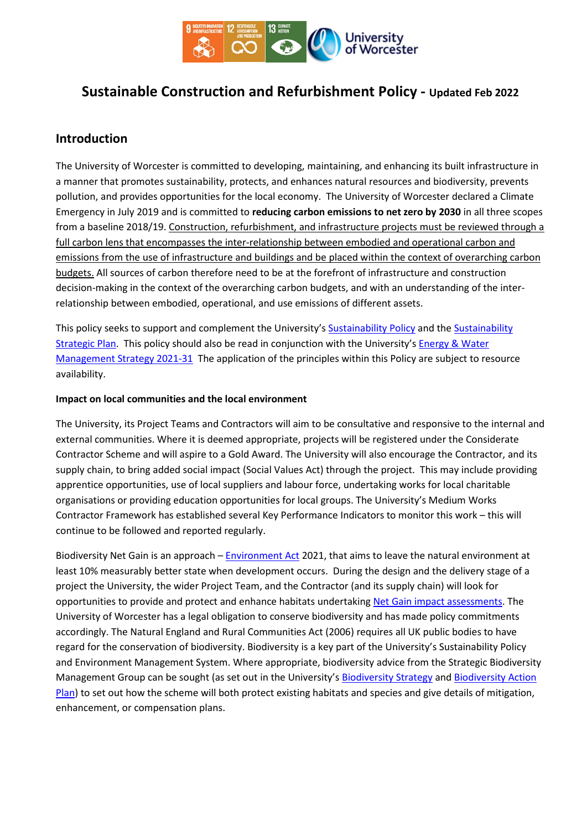

# **Sustainable Construction and Refurbishment Policy - Updated Feb 2022**

# **Introduction**

The University of Worcester is committed to developing, maintaining, and enhancing its built infrastructure in a manner that promotes sustainability, protects, and enhances natural resources and biodiversity, prevents pollution, and provides opportunities for the local economy. The University of Worcester declared a Climate Emergency in July 2019 and is committed to **reducing carbon emissions to net zero by 2030** in all three scopes from a baseline 2018/19. Construction, refurbishment, and infrastructure projects must be reviewed through a full carbon lens that encompasses the inter-relationship between embodied and operational carbon and emissions from the use of infrastructure and buildings and be placed within the context of overarching carbon budgets. All sources of carbon therefore need to be at the forefront of infrastructure and construction decision-making in the context of the overarching carbon budgets, and with an understanding of the interrelationship between embodied, operational, and use emissions of different assets.

This policy seeks to support and complement the University's [Sustainability Policy](https://www.worcester.ac.uk/documents/Sustainability-Policy-2020.pdf) and th[e Sustainability](https://www.worcester.ac.uk/documents/sustainability-strategy-2030.pdf)  [Strategic Plan.](https://www.worcester.ac.uk/documents/sustainability-strategy-2030.pdf) This policy should also be read in conjunction with the University'[s Energy & Water](https://www.worcester.ac.uk/documents/Energy-and-Water-Management-Strategy-2021-to-2031.pdf)  [Management Strategy](https://www.worcester.ac.uk/documents/Energy-and-Water-Management-Strategy-2021-to-2031.pdf) 2021-31 The application of the principles within this Policy are subject to resource availability.

#### **Impact on local communities and the local environment**

The University, its Project Teams and Contractors will aim to be consultative and responsive to the internal and external communities. Where it is deemed appropriate, projects will be registered under the Considerate Contractor Scheme and will aspire to a Gold Award. The University will also encourage the Contractor, and its supply chain, to bring added social impact (Social Values Act) through the project. This may include providing apprentice opportunities, use of local suppliers and labour force, undertaking works for local charitable organisations or providing education opportunities for local groups. The University's Medium Works Contractor Framework has established several Key Performance Indicators to monitor this work – this will continue to be followed and reported regularly.

Biodiversity Net Gain is an approach – [Environment Act](https://www.legislation.gov.uk/ukpga/2021/30/contents/enacted) 2021, that aims to leave the natural environment at least 10% measurably better state when development occurs. During the design and the delivery stage of a project the University, the wider Project Team, and the Contractor (and its supply chain) will look for opportunities to provide and protect and enhance habitats undertakin[g Net Gain impact assessments.](https://assets.publishing.service.gov.uk/government/uploads/system/uploads/attachment_data/file/839610/net-gain-ia.pdf) The University of Worcester has a legal obligation to conserve biodiversity and has made policy commitments accordingly. The Natural England and Rural Communities Act (2006) requires all UK public bodies to have regard for the conservation of biodiversity. Biodiversity is a key part of the University's Sustainability Policy and Environment Management System. Where appropriate, biodiversity advice from the Strategic Biodiversity Management Group can be sought (as set out in the University's [Biodiversity Strategy](https://www.worcester.ac.uk/documents/biodiversity-strategy.pdf) an[d Biodiversity Action](https://www.worcester.ac.uk/documents/Biodiversity-Action-Plan-BAP.pdf)  [Plan\)](https://www.worcester.ac.uk/documents/Biodiversity-Action-Plan-BAP.pdf) to set out how the scheme will both protect existing habitats and species and give details of mitigation, enhancement, or compensation plans.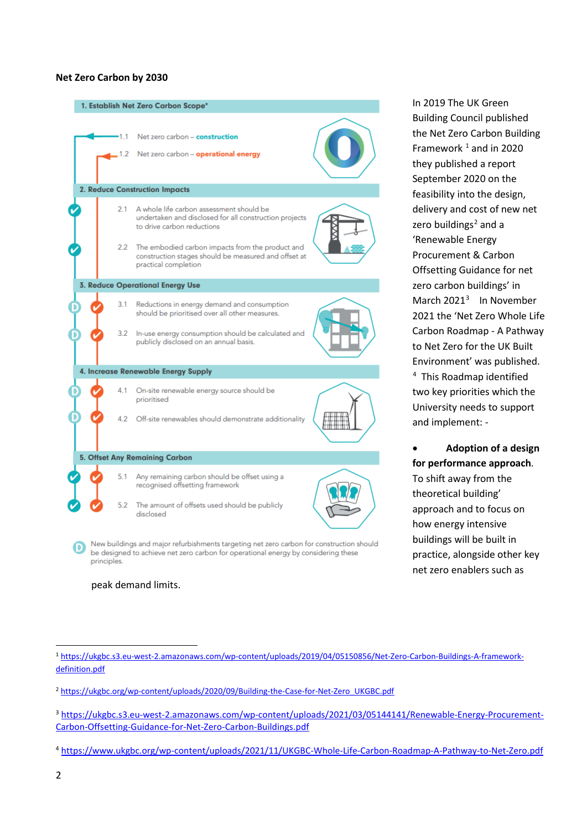#### **Net Zero Carbon by 2030**

# 1. Establish Net Zero Carbon Scope\* Net zero carbon - construction  $12$ Net zero carbon - operational energy 2. Reduce Construction Impacts  $21$ A whole life carbon assessment should be undertaken and disclosed for all construction projects to drive carbon reductions 2.2 The embodied carbon impacts from the product and construction stages should be measured and offset at practical completion **3. Reduce Operational Energy Use** Reductions in energy demand and consumption  $3.1$ should be prioritised over all other measures. In-use energy consumption should be calculated and  $32$ publicly disclosed on an annual basis. 4. Increase Renewable Energy Supply 4.1 On-site renewable energy source should be prioritised 4.2 Off-site renewables should demonstrate additionality 5. Offset Any Remaining Carbon Any remaining carbon should be offset using a<br>recognised offsetting framework  $5.1$  $52$ The amount of offsets used should be publicly disclosed New buildings and major refurbishments targeting net zero carbon for construction should be designed to achieve net zero carbon for operational energy by considering these principles.

In 2019 The UK Green Building Council published the Net Zero Carbon Building Framework  $1$  and in 2020 they published a report September 2020 on the feasibility into the design, delivery and cost of new net zero buildings<sup>[2](#page-1-1)</sup> and a 'Renewable Energy Procurement & Carbon Offsetting Guidance for net zero carbon buildings' in March 2021<sup>[3](#page-1-2)</sup> In November 2021 the 'Net Zero Whole Life Carbon Roadmap - A Pathway to Net Zero for the UK Built Environment' was published. [4](#page-1-3) This Roadmap identified two key priorities which the University needs to support and implement: -

• **Adoption of a design for performance approach**. To shift away from the theoretical building' approach and to focus on how energy intensive buildings will be built in practice, alongside other key net zero enablers such as

peak demand limits.

<span id="page-1-0"></span><sup>1</sup> [https://ukgbc.s3.eu-west-2.amazonaws.com/wp-content/uploads/2019/04/05150856/Net-Zero-Carbon-Buildings-A-framework](https://ukgbc.s3.eu-west-2.amazonaws.com/wp-content/uploads/2019/04/05150856/Net-Zero-Carbon-Buildings-A-framework-definition.pdf)[definition.pdf](https://ukgbc.s3.eu-west-2.amazonaws.com/wp-content/uploads/2019/04/05150856/Net-Zero-Carbon-Buildings-A-framework-definition.pdf)

<span id="page-1-1"></span><sup>2</sup> [https://ukgbc.org/wp-content/uploads/2020/09/Building-the-Case-for-Net-Zero\\_UKGBC.pdf](https://ukgbc.org/wp-content/uploads/2020/09/Building-the-Case-for-Net-Zero_UKGBC.pdf)

<span id="page-1-2"></span><sup>3</sup> [https://ukgbc.s3.eu-west-2.amazonaws.com/wp-content/uploads/2021/03/05144141/Renewable-Energy-Procurement-](https://ukgbc.s3.eu-west-2.amazonaws.com/wp-content/uploads/2021/03/05144141/Renewable-Energy-Procurement-Carbon-Offsetting-Guidance-for-Net-Zero-Carbon-Buildings.pdf)[Carbon-Offsetting-Guidance-for-Net-Zero-Carbon-Buildings.pdf](https://ukgbc.s3.eu-west-2.amazonaws.com/wp-content/uploads/2021/03/05144141/Renewable-Energy-Procurement-Carbon-Offsetting-Guidance-for-Net-Zero-Carbon-Buildings.pdf)

<span id="page-1-3"></span><sup>4</sup> <https://www.ukgbc.org/wp-content/uploads/2021/11/UKGBC-Whole-Life-Carbon-Roadmap-A-Pathway-to-Net-Zero.pdf>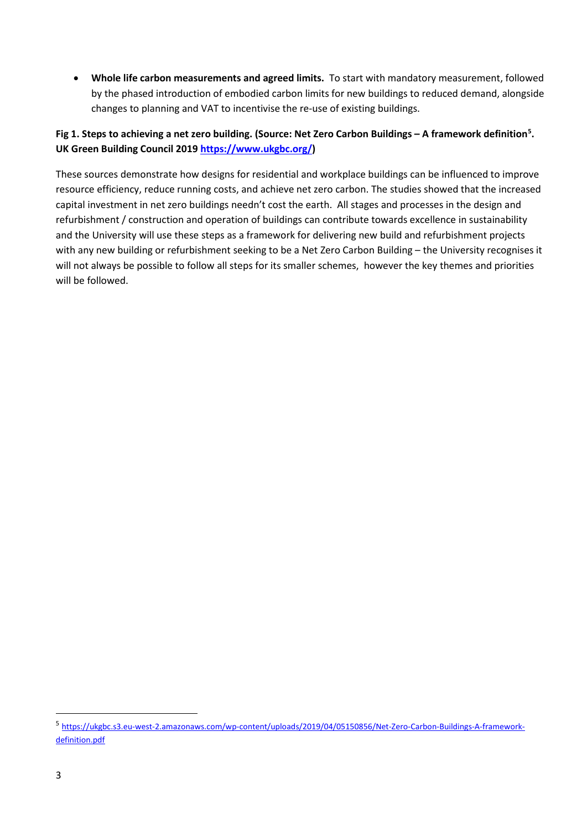• **Whole life carbon measurements and agreed limits.** To start with mandatory measurement, followed by the phased introduction of embodied carbon limits for new buildings to reduced demand, alongside changes to planning and VAT to incentivise the re-use of existing buildings.

#### **Fig 1. Steps to achieving a net zero building. (Source: Net Zero Carbon Buildings – A framework definition[5](#page-2-0) . UK Green Building Council 2019 [https://www.ukgbc.org/\)](https://www.ukgbc.org/)**

These sources demonstrate how designs for residential and workplace buildings can be influenced to improve resource efficiency, reduce running costs, and achieve net zero carbon. The studies showed that the increased capital investment in net zero buildings needn't cost the earth. All stages and processes in the design and refurbishment / construction and operation of buildings can contribute towards excellence in sustainability and the University will use these steps as a framework for delivering new build and refurbishment projects with any new building or refurbishment seeking to be a Net Zero Carbon Building – the University recognises it will not always be possible to follow all steps for its smaller schemes, however the key themes and priorities will be followed.

<span id="page-2-0"></span><sup>5</sup> [https://ukgbc.s3.eu-west-2.amazonaws.com/wp-content/uploads/2019/04/05150856/Net-Zero-Carbon-Buildings-A-framework](https://ukgbc.s3.eu-west-2.amazonaws.com/wp-content/uploads/2019/04/05150856/Net-Zero-Carbon-Buildings-A-framework-definition.pdf)[definition.pdf](https://ukgbc.s3.eu-west-2.amazonaws.com/wp-content/uploads/2019/04/05150856/Net-Zero-Carbon-Buildings-A-framework-definition.pdf)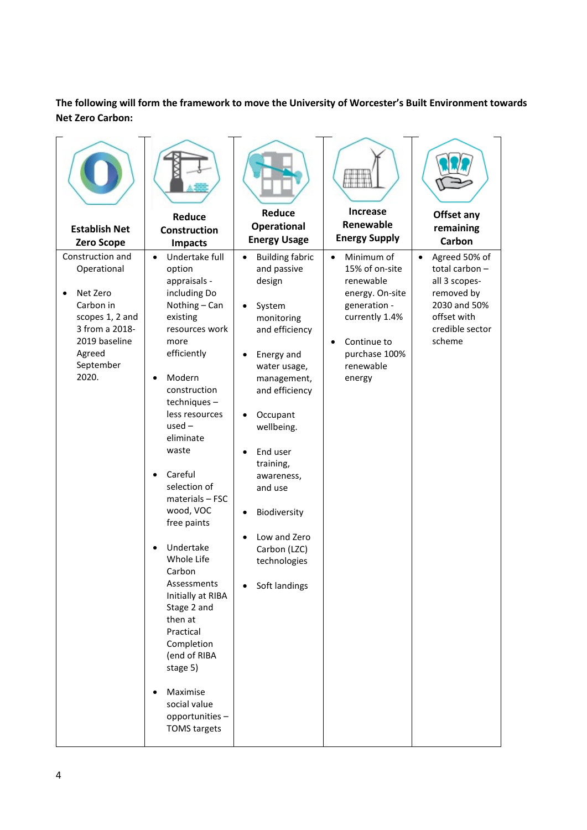### **The following will form the framework to move the University of Worcester's Built Environment towards Net Zero Carbon:**

| <b>Establish Net</b><br><b>Zero Scope</b>                                                                                                                   | Reduce<br><b>Construction</b><br><b>Impacts</b>                                                                                                                                                                                                                                                                                                                                                                                                                                                                                                                                          | <b>Reduce</b><br><b>Operational</b><br><b>Energy Usage</b>                                                                                                                                                                                                                                                            | <b>Increase</b><br>Renewable<br><b>Energy Supply</b>                                                                                                                            | Offset any<br>remaining<br>Carbon                                                                                                      |
|-------------------------------------------------------------------------------------------------------------------------------------------------------------|------------------------------------------------------------------------------------------------------------------------------------------------------------------------------------------------------------------------------------------------------------------------------------------------------------------------------------------------------------------------------------------------------------------------------------------------------------------------------------------------------------------------------------------------------------------------------------------|-----------------------------------------------------------------------------------------------------------------------------------------------------------------------------------------------------------------------------------------------------------------------------------------------------------------------|---------------------------------------------------------------------------------------------------------------------------------------------------------------------------------|----------------------------------------------------------------------------------------------------------------------------------------|
| Construction and<br>Operational<br>Net Zero<br>$\bullet$<br>Carbon in<br>scopes 1, 2 and<br>3 from a 2018-<br>2019 baseline<br>Agreed<br>September<br>2020. | Undertake full<br>$\bullet$<br>option<br>appraisals -<br>including Do<br>Nothing - Can<br>existing<br>resources work<br>more<br>efficiently<br>Modern<br>$\bullet$<br>construction<br>techniques-<br>less resources<br>$used -$<br>eliminate<br>waste<br>Careful<br>$\bullet$<br>selection of<br>materials - FSC<br>wood, VOC<br>free paints<br>Undertake<br>Whole Life<br>Carbon<br>Assessments<br>Initially at RIBA<br>Stage 2 and<br>then at<br>Practical<br>Completion<br>(end of RIBA<br>stage 5)<br>Maximise<br>$\bullet$<br>social value<br>opportunities-<br><b>TOMS</b> targets | <b>Building fabric</b><br>and passive<br>design<br>System<br>monitoring<br>and efficiency<br>Energy and<br>water usage,<br>management,<br>and efficiency<br>Occupant<br>wellbeing.<br>End user<br>training,<br>awareness,<br>and use<br>Biodiversity<br>Low and Zero<br>Carbon (LZC)<br>technologies<br>Soft landings | Minimum of<br>$\bullet$<br>15% of on-site<br>renewable<br>energy. On-site<br>generation -<br>currently 1.4%<br>Continue to<br>$\bullet$<br>purchase 100%<br>renewable<br>energy | Agreed 50% of<br>$\bullet$<br>total carbon-<br>all 3 scopes-<br>removed by<br>2030 and 50%<br>offset with<br>credible sector<br>scheme |